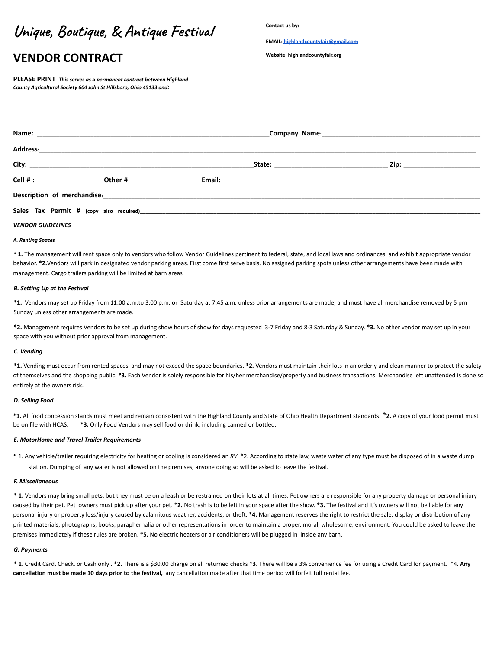# **Unique, Boutique, & Antique Festival**

## **VENDOR CONTRACT**

**PLEASE PRINT** *This serves as a permanent contract between Highland County Agricultural Society 604 John St Hillsboro, Ohio 45133 and:*

**Contact us by:**

**EMAIL: [highlandcountyfair@gmail.com](mailto:highlandcountyfair@gmail.com)**

**Website: highlandcountyfair.org**

|  |  | _ Zip: ________________________ |
|--|--|---------------------------------|
|  |  |                                 |
|  |  |                                 |
|  |  |                                 |

#### *VENDOR GUIDELINES*

#### *A. Renting Spaces*

**\* 1.** The management will rent space only to vendors who follow Vendor Guidelines pertinent to federal, state, and local laws and ordinances, and exhibit appropriate vendor behavior. **\*2.**Vendors will park in designated vendor parking areas. First come first serve basis. No assigned parking spots unless other arrangements have been made with management. Cargo trailers parking will be limited at barn areas

#### *B. Setting Up at the Festival*

**\*1.** Vendors may set up Friday from 11:00 a.m.to 3:00 p.m. or Saturday at 7:45 a.m. unless prior arrangements are made, and must have all merchandise removed by 5 pm Sunday unless other arrangements are made.

**\*2.** Management requires Vendors to be set up during show hours of show for days requested 3-7 Friday and 8-3 Saturday & Sunday. **\*3.** No other vendor may set up in your space with you without prior approval from management.

#### *C. Vending*

**\*1.** Vending must occur from rented spaces and may not exceed the space boundaries. **\*2.** Vendors must maintain their lots in an orderly and clean manner to protect the safety of themselves and the shopping public. **\*3.** Each Vendor is solely responsible for his/her merchandise/property and business transactions. Merchandise left unattended is done so entirely at the owners risk.

#### *D. Selling Food*

**\*1.** All food concession stands must meet and remain consistent with the Highland County and State of Ohio Health Department standards. **\*2.** A copy of your food permit must be on file with HCAS. **\*3.** Only Food Vendors may sell food or drink, including canned or bottled.

#### *E. MotorHome and Travel Trailer Requirements*

∙ 1. Any vehicle/trailer requiring electricity for heating or cooling is considered an *RV*. **\***2. According to state law, waste water of any type must be disposed of in a waste dump station. Dumping of any water is not allowed on the premises, anyone doing so will be asked to leave the festival.

#### *F. Miscellaneous*

**\* 1.** Vendors may bring small pets, but they must be on a leash or be restrained on their lots at all times. Pet owners are responsible for any property damage or personal injury caused by their pet. Pet owners must pick up after your pet. **\*2.** No trash is to be left in your space after the show. **\*3.** The festival and it's owners will not be liable for any personal injury or property loss/injury caused by calamitous weather, accidents, or theft. **\*4.** Management reserves the right to restrict the sale, display or distribution of any printed materials, photographs, books, paraphernalia or other representations in order to maintain a proper, moral, wholesome, environment. You could be asked to leave the premises immediately if these rules are broken. **\*5.** No electric heaters or air conditioners will be plugged in inside any barn.

#### *G. Payments*

**\* 1.** Credit Card, Check, or Cash only . **\*2.** There is a \$30.00 charge on all returned checks **\*3.** There will be a 3% convenience fee for using a Credit Card for payment. \*4. **Any cancellation must be made 10 days prior to the festival,** any cancellation made after that time period will forfeit full rental fee.